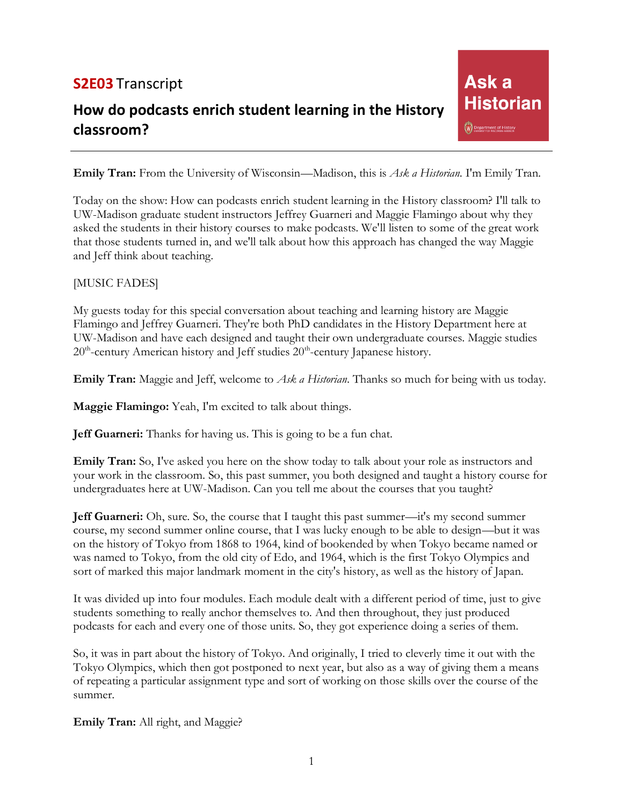## **S2E03** Transcript

# **How do podcasts enrich student learning in the History classroom?**

**Emily Tran:** From the University of Wisconsin—Madison, this is *Ask a Historian*. I'm Emily Tran.

Ask<sub>a</sub>

W Department of History

**Historian** 

Today on the show: How can podcasts enrich student learning in the History classroom? I'll talk to UW-Madison graduate student instructors Jeffrey Guarneri and Maggie Flamingo about why they asked the students in their history courses to make podcasts. We'll listen to some of the great work that those students turned in, and we'll talk about how this approach has changed the way Maggie and Jeff think about teaching.

#### [MUSIC FADES]

My guests today for this special conversation about teaching and learning history are Maggie Flamingo and Jeffrey Guarneri. They're both PhD candidates in the History Department here at UW-Madison and have each designed and taught their own undergraduate courses. Maggie studies 20<sup>th</sup>-century American history and Jeff studies 20<sup>th</sup>-century Japanese history.

**Emily Tran:** Maggie and Jeff, welcome to *Ask a Historian*. Thanks so much for being with us today.

**Maggie Flamingo:** Yeah, I'm excited to talk about things.

**Jeff Guarneri:** Thanks for having us. This is going to be a fun chat.

**Emily Tran:** So, I've asked you here on the show today to talk about your role as instructors and your work in the classroom. So, this past summer, you both designed and taught a history course for undergraduates here at UW-Madison. Can you tell me about the courses that you taught?

**Jeff Guarneri:** Oh, sure. So, the course that I taught this past summer—it's my second summer course, my second summer online course, that I was lucky enough to be able to design—but it was on the history of Tokyo from 1868 to 1964, kind of bookended by when Tokyo became named or was named to Tokyo, from the old city of Edo, and 1964, which is the first Tokyo Olympics and sort of marked this major landmark moment in the city's history, as well as the history of Japan.

It was divided up into four modules. Each module dealt with a different period of time, just to give students something to really anchor themselves to. And then throughout, they just produced podcasts for each and every one of those units. So, they got experience doing a series of them.

So, it was in part about the history of Tokyo. And originally, I tried to cleverly time it out with the Tokyo Olympics, which then got postponed to next year, but also as a way of giving them a means of repeating a particular assignment type and sort of working on those skills over the course of the summer.

**Emily Tran:** All right, and Maggie?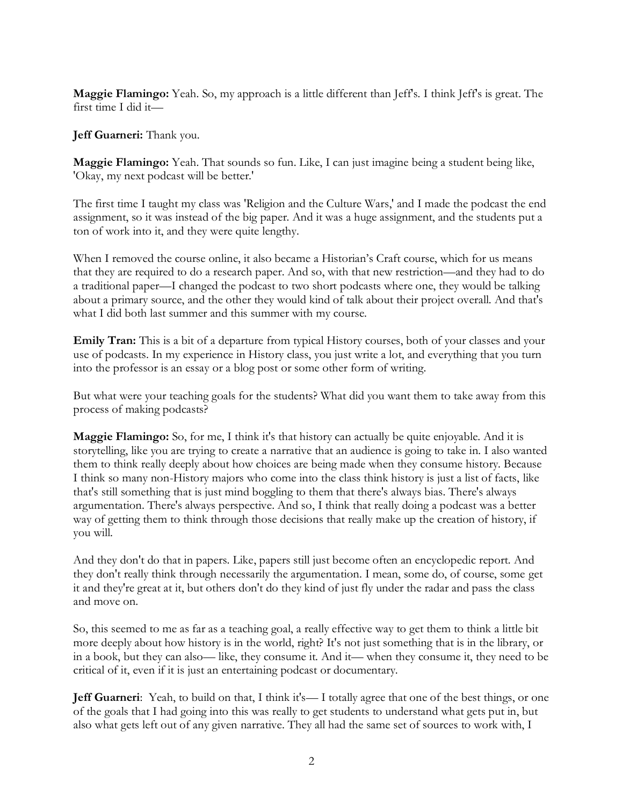**Maggie Flamingo:** Yeah. So, my approach is a little different than Jeff's. I think Jeff's is great. The first time I did it—

**Jeff Guarneri:** Thank you.

**Maggie Flamingo:** Yeah. That sounds so fun. Like, I can just imagine being a student being like, 'Okay, my next podcast will be better.'

The first time I taught my class was 'Religion and the Culture Wars,' and I made the podcast the end assignment, so it was instead of the big paper. And it was a huge assignment, and the students put a ton of work into it, and they were quite lengthy.

When I removed the course online, it also became a Historian's Craft course, which for us means that they are required to do a research paper. And so, with that new restriction—and they had to do a traditional paper—I changed the podcast to two short podcasts where one, they would be talking about a primary source, and the other they would kind of talk about their project overall. And that's what I did both last summer and this summer with my course.

**Emily Tran:** This is a bit of a departure from typical History courses, both of your classes and your use of podcasts. In my experience in History class, you just write a lot, and everything that you turn into the professor is an essay or a blog post or some other form of writing.

But what were your teaching goals for the students? What did you want them to take away from this process of making podcasts?

**Maggie Flamingo:** So, for me, I think it's that history can actually be quite enjoyable. And it is storytelling, like you are trying to create a narrative that an audience is going to take in. I also wanted them to think really deeply about how choices are being made when they consume history. Because I think so many non-History majors who come into the class think history is just a list of facts, like that's still something that is just mind boggling to them that there's always bias. There's always argumentation. There's always perspective. And so, I think that really doing a podcast was a better way of getting them to think through those decisions that really make up the creation of history, if you will.

And they don't do that in papers. Like, papers still just become often an encyclopedic report. And they don't really think through necessarily the argumentation. I mean, some do, of course, some get it and they're great at it, but others don't do they kind of just fly under the radar and pass the class and move on.

So, this seemed to me as far as a teaching goal, a really effective way to get them to think a little bit more deeply about how history is in the world, right? It's not just something that is in the library, or in a book, but they can also— like, they consume it. And it— when they consume it, they need to be critical of it, even if it is just an entertaining podcast or documentary.

**Jeff Guarneri**: Yeah, to build on that, I think it's—I totally agree that one of the best things, or one of the goals that I had going into this was really to get students to understand what gets put in, but also what gets left out of any given narrative. They all had the same set of sources to work with, I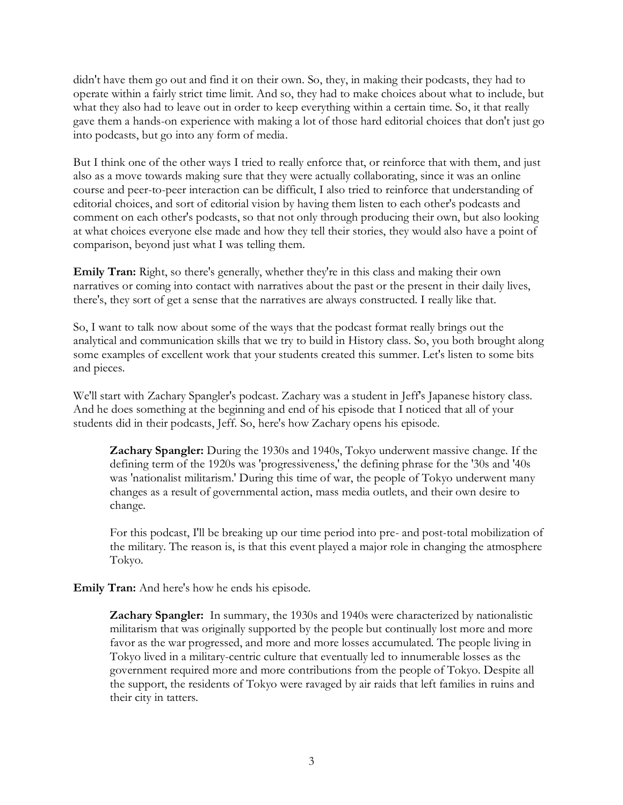didn't have them go out and find it on their own. So, they, in making their podcasts, they had to operate within a fairly strict time limit. And so, they had to make choices about what to include, but what they also had to leave out in order to keep everything within a certain time. So, it that really gave them a hands-on experience with making a lot of those hard editorial choices that don't just go into podcasts, but go into any form of media.

But I think one of the other ways I tried to really enforce that, or reinforce that with them, and just also as a move towards making sure that they were actually collaborating, since it was an online course and peer-to-peer interaction can be difficult, I also tried to reinforce that understanding of editorial choices, and sort of editorial vision by having them listen to each other's podcasts and comment on each other's podcasts, so that not only through producing their own, but also looking at what choices everyone else made and how they tell their stories, they would also have a point of comparison, beyond just what I was telling them.

**Emily Tran:** Right, so there's generally, whether they're in this class and making their own narratives or coming into contact with narratives about the past or the present in their daily lives, there's, they sort of get a sense that the narratives are always constructed. I really like that.

So, I want to talk now about some of the ways that the podcast format really brings out the analytical and communication skills that we try to build in History class. So, you both brought along some examples of excellent work that your students created this summer. Let's listen to some bits and pieces.

We'll start with Zachary Spangler's podcast. Zachary was a student in Jeff's Japanese history class. And he does something at the beginning and end of his episode that I noticed that all of your students did in their podcasts, Jeff. So, here's how Zachary opens his episode.

**Zachary Spangler:** During the 1930s and 1940s, Tokyo underwent massive change. If the defining term of the 1920s was 'progressiveness,' the defining phrase for the '30s and '40s was 'nationalist militarism.' During this time of war, the people of Tokyo underwent many changes as a result of governmental action, mass media outlets, and their own desire to change.

For this podcast, I'll be breaking up our time period into pre- and post-total mobilization of the military. The reason is, is that this event played a major role in changing the atmosphere Tokyo.

**Emily Tran:** And here's how he ends his episode.

**Zachary Spangler:** In summary, the 1930s and 1940s were characterized by nationalistic militarism that was originally supported by the people but continually lost more and more favor as the war progressed, and more and more losses accumulated. The people living in Tokyo lived in a military-centric culture that eventually led to innumerable losses as the government required more and more contributions from the people of Tokyo. Despite all the support, the residents of Tokyo were ravaged by air raids that left families in ruins and their city in tatters.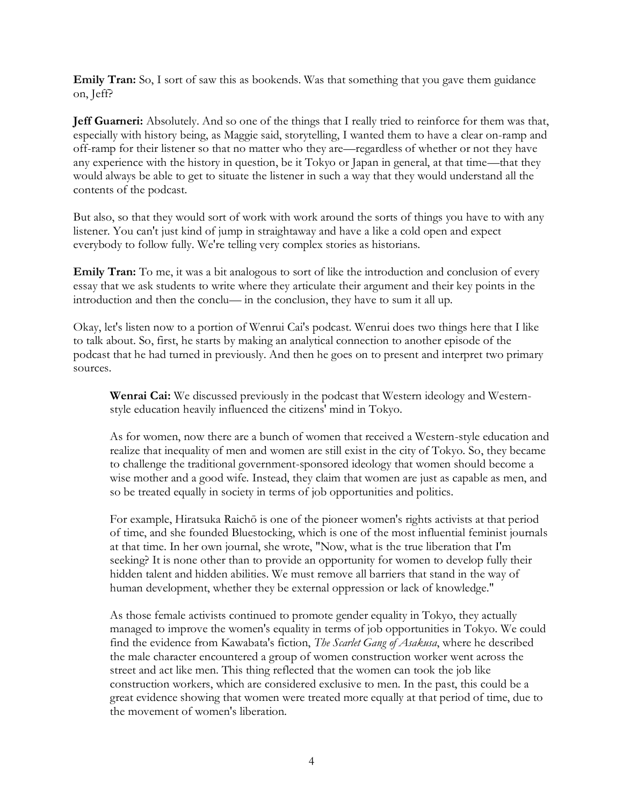**Emily Tran:** So, I sort of saw this as bookends. Was that something that you gave them guidance on, Jeff?

**Jeff Guarneri:** Absolutely. And so one of the things that I really tried to reinforce for them was that, especially with history being, as Maggie said, storytelling, I wanted them to have a clear on-ramp and off-ramp for their listener so that no matter who they are—regardless of whether or not they have any experience with the history in question, be it Tokyo or Japan in general, at that time—that they would always be able to get to situate the listener in such a way that they would understand all the contents of the podcast.

But also, so that they would sort of work with work around the sorts of things you have to with any listener. You can't just kind of jump in straightaway and have a like a cold open and expect everybody to follow fully. We're telling very complex stories as historians.

**Emily Tran:** To me, it was a bit analogous to sort of like the introduction and conclusion of every essay that we ask students to write where they articulate their argument and their key points in the introduction and then the conclu— in the conclusion, they have to sum it all up.

Okay, let's listen now to a portion of Wenrui Cai's podcast. Wenrui does two things here that I like to talk about. So, first, he starts by making an analytical connection to another episode of the podcast that he had turned in previously. And then he goes on to present and interpret two primary sources.

**Wenrai Cai:** We discussed previously in the podcast that Western ideology and Westernstyle education heavily influenced the citizens' mind in Tokyo.

As for women, now there are a bunch of women that received a Western-style education and realize that inequality of men and women are still exist in the city of Tokyo. So, they became to challenge the traditional government-sponsored ideology that women should become a wise mother and a good wife. Instead, they claim that women are just as capable as men, and so be treated equally in society in terms of job opportunities and politics.

For example, Hiratsuka Raichō is one of the pioneer women's rights activists at that period of time, and she founded Bluestocking, which is one of the most influential feminist journals at that time. In her own journal, she wrote, "Now, what is the true liberation that I'm seeking? It is none other than to provide an opportunity for women to develop fully their hidden talent and hidden abilities. We must remove all barriers that stand in the way of human development, whether they be external oppression or lack of knowledge."

As those female activists continued to promote gender equality in Tokyo, they actually managed to improve the women's equality in terms of job opportunities in Tokyo. We could find the evidence from Kawabata's fiction, *The Scarlet Gang of Asakusa*, where he described the male character encountered a group of women construction worker went across the street and act like men. This thing reflected that the women can took the job like construction workers, which are considered exclusive to men. In the past, this could be a great evidence showing that women were treated more equally at that period of time, due to the movement of women's liberation.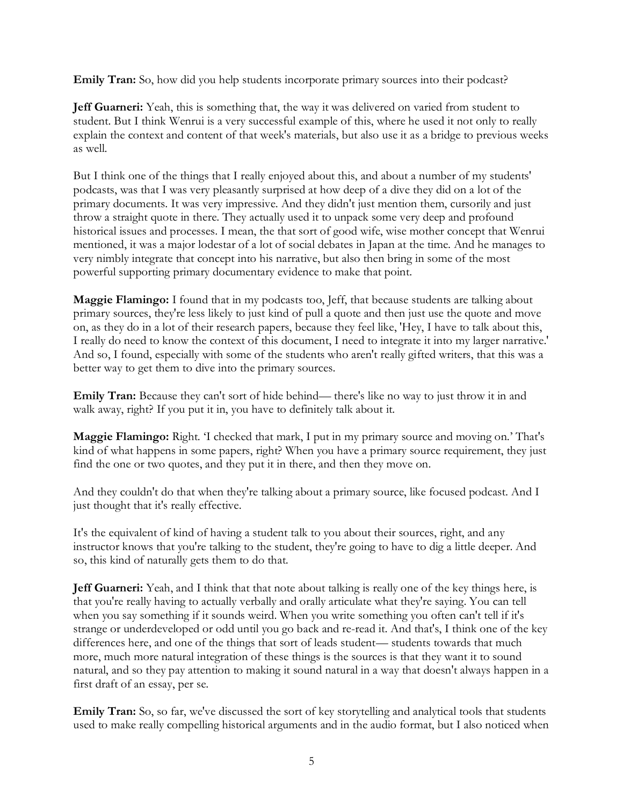**Emily Tran:** So, how did you help students incorporate primary sources into their podcast?

**Jeff Guarneri:** Yeah, this is something that, the way it was delivered on varied from student to student. But I think Wenrui is a very successful example of this, where he used it not only to really explain the context and content of that week's materials, but also use it as a bridge to previous weeks as well.

But I think one of the things that I really enjoyed about this, and about a number of my students' podcasts, was that I was very pleasantly surprised at how deep of a dive they did on a lot of the primary documents. It was very impressive. And they didn't just mention them, cursorily and just throw a straight quote in there. They actually used it to unpack some very deep and profound historical issues and processes. I mean, the that sort of good wife, wise mother concept that Wenrui mentioned, it was a major lodestar of a lot of social debates in Japan at the time. And he manages to very nimbly integrate that concept into his narrative, but also then bring in some of the most powerful supporting primary documentary evidence to make that point.

**Maggie Flamingo:** I found that in my podcasts too, Jeff, that because students are talking about primary sources, they're less likely to just kind of pull a quote and then just use the quote and move on, as they do in a lot of their research papers, because they feel like, 'Hey, I have to talk about this, I really do need to know the context of this document, I need to integrate it into my larger narrative.' And so, I found, especially with some of the students who aren't really gifted writers, that this was a better way to get them to dive into the primary sources.

**Emily Tran:** Because they can't sort of hide behind— there's like no way to just throw it in and walk away, right? If you put it in, you have to definitely talk about it.

**Maggie Flamingo:** Right. 'I checked that mark, I put in my primary source and moving on.' That's kind of what happens in some papers, right? When you have a primary source requirement, they just find the one or two quotes, and they put it in there, and then they move on.

And they couldn't do that when they're talking about a primary source, like focused podcast. And I just thought that it's really effective.

It's the equivalent of kind of having a student talk to you about their sources, right, and any instructor knows that you're talking to the student, they're going to have to dig a little deeper. And so, this kind of naturally gets them to do that.

**Jeff Guarneri:** Yeah, and I think that that note about talking is really one of the key things here, is that you're really having to actually verbally and orally articulate what they're saying. You can tell when you say something if it sounds weird. When you write something you often can't tell if it's strange or underdeveloped or odd until you go back and re-read it. And that's, I think one of the key differences here, and one of the things that sort of leads student— students towards that much more, much more natural integration of these things is the sources is that they want it to sound natural, and so they pay attention to making it sound natural in a way that doesn't always happen in a first draft of an essay, per se.

**Emily Tran:** So, so far, we've discussed the sort of key storytelling and analytical tools that students used to make really compelling historical arguments and in the audio format, but I also noticed when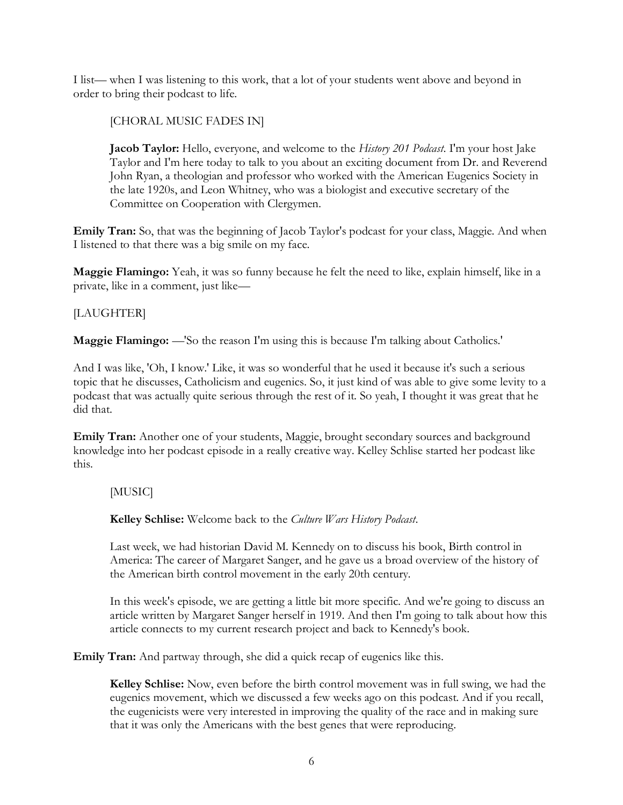I list— when I was listening to this work, that a lot of your students went above and beyond in order to bring their podcast to life.

[CHORAL MUSIC FADES IN]

**Jacob Taylor:** Hello, everyone, and welcome to the *History 201 Podcast*. I'm your host Jake Taylor and I'm here today to talk to you about an exciting document from Dr. and Reverend John Ryan, a theologian and professor who worked with the American Eugenics Society in the late 1920s, and Leon Whitney, who was a biologist and executive secretary of the Committee on Cooperation with Clergymen.

**Emily Tran:** So, that was the beginning of Jacob Taylor's podcast for your class, Maggie. And when I listened to that there was a big smile on my face.

**Maggie Flamingo:** Yeah, it was so funny because he felt the need to like, explain himself, like in a private, like in a comment, just like—

### [LAUGHTER]

**Maggie Flamingo:** —'So the reason I'm using this is because I'm talking about Catholics.'

And I was like, 'Oh, I know.' Like, it was so wonderful that he used it because it's such a serious topic that he discusses, Catholicism and eugenics. So, it just kind of was able to give some levity to a podcast that was actually quite serious through the rest of it. So yeah, I thought it was great that he did that.

**Emily Tran:** Another one of your students, Maggie, brought secondary sources and background knowledge into her podcast episode in a really creative way. Kelley Schlise started her podcast like this.

#### [MUSIC]

**Kelley Schlise:** Welcome back to the *Culture Wars History Podcast*.

Last week, we had historian David M. Kennedy on to discuss his book, Birth control in America: The career of Margaret Sanger, and he gave us a broad overview of the history of the American birth control movement in the early 20th century.

In this week's episode, we are getting a little bit more specific. And we're going to discuss an article written by Margaret Sanger herself in 1919. And then I'm going to talk about how this article connects to my current research project and back to Kennedy's book.

**Emily Tran:** And partway through, she did a quick recap of eugenics like this.

**Kelley Schlise:** Now, even before the birth control movement was in full swing, we had the eugenics movement, which we discussed a few weeks ago on this podcast. And if you recall, the eugenicists were very interested in improving the quality of the race and in making sure that it was only the Americans with the best genes that were reproducing.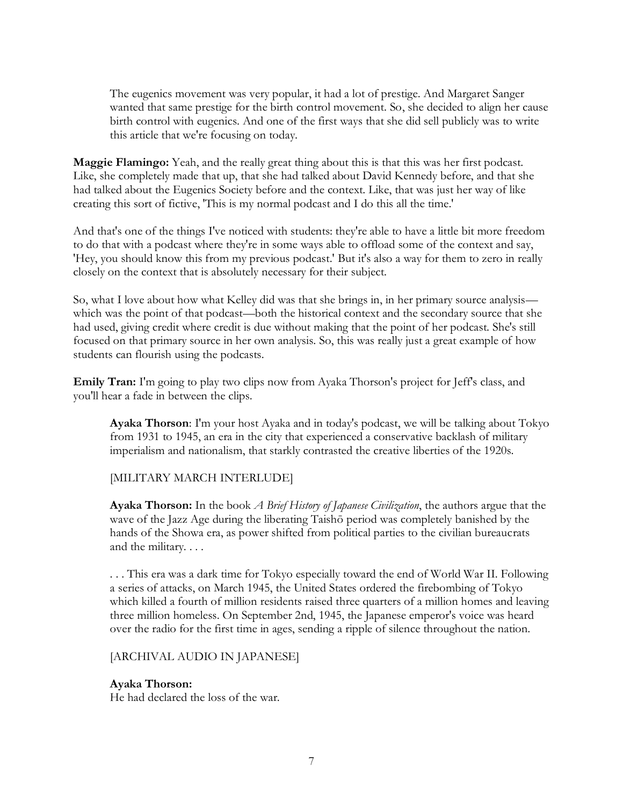The eugenics movement was very popular, it had a lot of prestige. And Margaret Sanger wanted that same prestige for the birth control movement. So, she decided to align her cause birth control with eugenics. And one of the first ways that she did sell publicly was to write this article that we're focusing on today.

**Maggie Flamingo:** Yeah, and the really great thing about this is that this was her first podcast. Like, she completely made that up, that she had talked about David Kennedy before, and that she had talked about the Eugenics Society before and the context. Like, that was just her way of like creating this sort of fictive, 'This is my normal podcast and I do this all the time.'

And that's one of the things I've noticed with students: they're able to have a little bit more freedom to do that with a podcast where they're in some ways able to offload some of the context and say, 'Hey, you should know this from my previous podcast.' But it's also a way for them to zero in really closely on the context that is absolutely necessary for their subject.

So, what I love about how what Kelley did was that she brings in, in her primary source analysis which was the point of that podcast—both the historical context and the secondary source that she had used, giving credit where credit is due without making that the point of her podcast. She's still focused on that primary source in her own analysis. So, this was really just a great example of how students can flourish using the podcasts.

**Emily Tran:** I'm going to play two clips now from Ayaka Thorson's project for Jeff's class, and you'll hear a fade in between the clips.

**Ayaka Thorson**: I'm your host Ayaka and in today's podcast, we will be talking about Tokyo from 1931 to 1945, an era in the city that experienced a conservative backlash of military imperialism and nationalism, that starkly contrasted the creative liberties of the 1920s.

#### [MILITARY MARCH INTERLUDE]

**Ayaka Thorson:** In the book *A Brief History of Japanese Civilization*, the authors argue that the wave of the Jazz Age during the liberating Taishō period was completely banished by the hands of the Showa era, as power shifted from political parties to the civilian bureaucrats and the military. . . .

. . . This era was a dark time for Tokyo especially toward the end of World War II. Following a series of attacks, on March 1945, the United States ordered the firebombing of Tokyo which killed a fourth of million residents raised three quarters of a million homes and leaving three million homeless. On September 2nd, 1945, the Japanese emperor's voice was heard over the radio for the first time in ages, sending a ripple of silence throughout the nation.

#### [ARCHIVAL AUDIO IN JAPANESE]

#### **Ayaka Thorson:**

He had declared the loss of the war.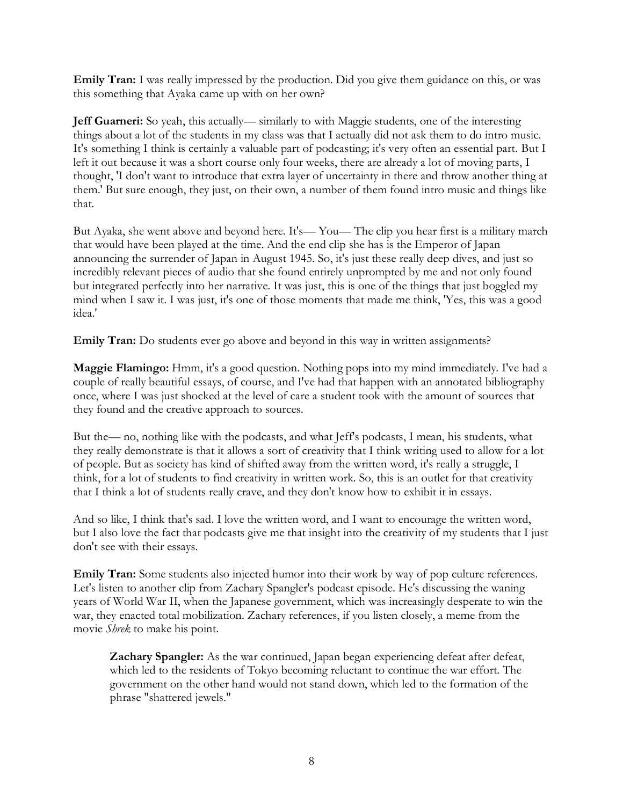**Emily Tran:** I was really impressed by the production. Did you give them guidance on this, or was this something that Ayaka came up with on her own?

**Jeff Guarneri:** So yeah, this actually— similarly to with Maggie students, one of the interesting things about a lot of the students in my class was that I actually did not ask them to do intro music. It's something I think is certainly a valuable part of podcasting; it's very often an essential part. But I left it out because it was a short course only four weeks, there are already a lot of moving parts, I thought, 'I don't want to introduce that extra layer of uncertainty in there and throw another thing at them.' But sure enough, they just, on their own, a number of them found intro music and things like that.

But Ayaka, she went above and beyond here. It's— You— The clip you hear first is a military march that would have been played at the time. And the end clip she has is the Emperor of Japan announcing the surrender of Japan in August 1945. So, it's just these really deep dives, and just so incredibly relevant pieces of audio that she found entirely unprompted by me and not only found but integrated perfectly into her narrative. It was just, this is one of the things that just boggled my mind when I saw it. I was just, it's one of those moments that made me think, 'Yes, this was a good idea.'

**Emily Tran:** Do students ever go above and beyond in this way in written assignments?

**Maggie Flamingo:** Hmm, it's a good question. Nothing pops into my mind immediately. I've had a couple of really beautiful essays, of course, and I've had that happen with an annotated bibliography once, where I was just shocked at the level of care a student took with the amount of sources that they found and the creative approach to sources.

But the— no, nothing like with the podcasts, and what Jeff's podcasts, I mean, his students, what they really demonstrate is that it allows a sort of creativity that I think writing used to allow for a lot of people. But as society has kind of shifted away from the written word, it's really a struggle, I think, for a lot of students to find creativity in written work. So, this is an outlet for that creativity that I think a lot of students really crave, and they don't know how to exhibit it in essays.

And so like, I think that's sad. I love the written word, and I want to encourage the written word, but I also love the fact that podcasts give me that insight into the creativity of my students that I just don't see with their essays.

**Emily Tran:** Some students also injected humor into their work by way of pop culture references. Let's listen to another clip from Zachary Spangler's podcast episode. He's discussing the waning years of World War II, when the Japanese government, which was increasingly desperate to win the war, they enacted total mobilization. Zachary references, if you listen closely, a meme from the movie *Shrek* to make his point.

**Zachary Spangler:** As the war continued, Japan began experiencing defeat after defeat, which led to the residents of Tokyo becoming reluctant to continue the war effort. The government on the other hand would not stand down, which led to the formation of the phrase "shattered jewels."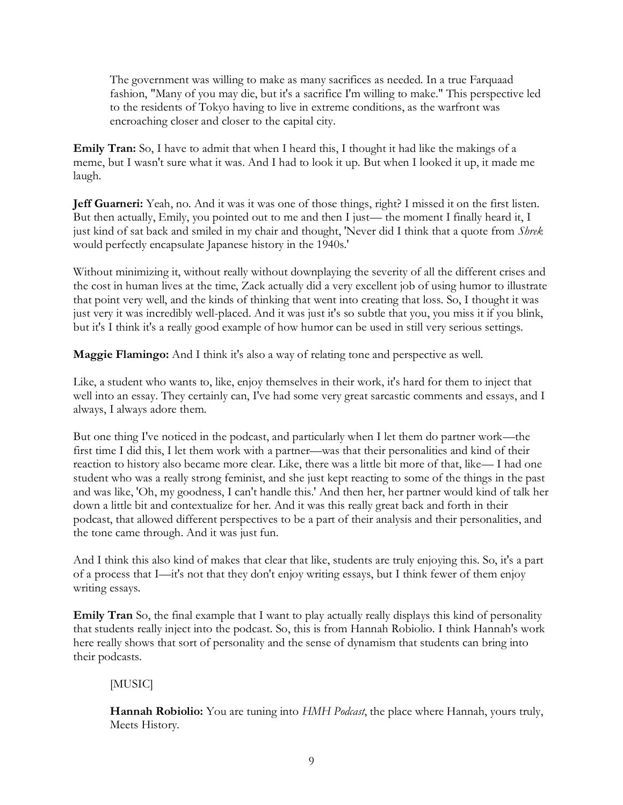The government was willing to make as many sacrifices as needed. In a true Farquaad fashion, "Many of you may die, but it's a sacrifice I'm willing to make." This perspective led to the residents of Tokyo having to live in extreme conditions, as the warfront was encroaching closer and closer to the capital city.

**Emily Tran:** So, I have to admit that when I heard this, I thought it had like the makings of a meme, but I wasn't sure what it was. And I had to look it up. But when I looked it up, it made me laugh.

**Jeff Guarneri:** Yeah, no. And it was it was one of those things, right? I missed it on the first listen. But then actually, Emily, you pointed out to me and then I just— the moment I finally heard it, I just kind of sat back and smiled in my chair and thought, 'Never did I think that a quote from *Shrek* would perfectly encapsulate Japanese history in the 1940s.'

Without minimizing it, without really without downplaying the severity of all the different crises and the cost in human lives at the time, Zack actually did a very excellent job of using humor to illustrate that point very well, and the kinds of thinking that went into creating that loss. So, I thought it was just very it was incredibly well-placed. And it was just it's so subtle that you, you miss it if you blink, but it's I think it's a really good example of how humor can be used in still very serious settings.

**Maggie Flamingo:** And I think it's also a way of relating tone and perspective as well.

Like, a student who wants to, like, enjoy themselves in their work, it's hard for them to inject that well into an essay. They certainly can, I've had some very great sarcastic comments and essays, and I always, I always adore them.

But one thing I've noticed in the podcast, and particularly when I let them do partner work—the first time I did this, I let them work with a partner—was that their personalities and kind of their reaction to history also became more clear. Like, there was a little bit more of that, like— I had one student who was a really strong feminist, and she just kept reacting to some of the things in the past and was like, 'Oh, my goodness, I can't handle this.' And then her, her partner would kind of talk her down a little bit and contextualize for her. And it was this really great back and forth in their podcast, that allowed different perspectives to be a part of their analysis and their personalities, and the tone came through. And it was just fun.

And I think this also kind of makes that clear that like, students are truly enjoying this. So, it's a part of a process that I—it's not that they don't enjoy writing essays, but I think fewer of them enjoy writing essays.

**Emily Tran** So, the final example that I want to play actually really displays this kind of personality that students really inject into the podcast. So, this is from Hannah Robiolio. I think Hannah's work here really shows that sort of personality and the sense of dynamism that students can bring into their podcasts.

## [MUSIC]

**Hannah Robiolio:** You are tuning into *HMH Podcast*, the place where Hannah, yours truly, Meets History.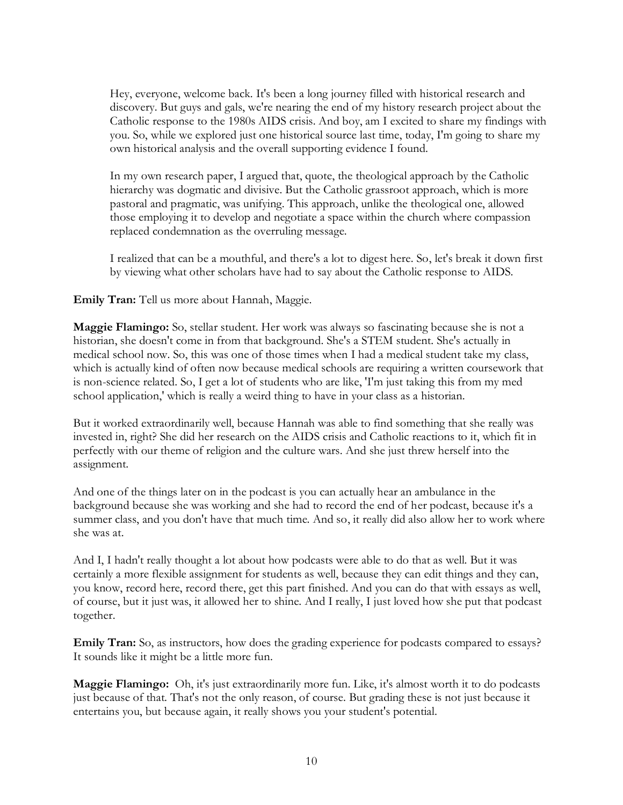Hey, everyone, welcome back. It's been a long journey filled with historical research and discovery. But guys and gals, we're nearing the end of my history research project about the Catholic response to the 1980s AIDS crisis. And boy, am I excited to share my findings with you. So, while we explored just one historical source last time, today, I'm going to share my own historical analysis and the overall supporting evidence I found.

In my own research paper, I argued that, quote, the theological approach by the Catholic hierarchy was dogmatic and divisive. But the Catholic grassroot approach, which is more pastoral and pragmatic, was unifying. This approach, unlike the theological one, allowed those employing it to develop and negotiate a space within the church where compassion replaced condemnation as the overruling message.

I realized that can be a mouthful, and there's a lot to digest here. So, let's break it down first by viewing what other scholars have had to say about the Catholic response to AIDS.

**Emily Tran:** Tell us more about Hannah, Maggie.

**Maggie Flamingo:** So, stellar student. Her work was always so fascinating because she is not a historian, she doesn't come in from that background. She's a STEM student. She's actually in medical school now. So, this was one of those times when I had a medical student take my class, which is actually kind of often now because medical schools are requiring a written coursework that is non-science related. So, I get a lot of students who are like, 'I'm just taking this from my med school application,' which is really a weird thing to have in your class as a historian.

But it worked extraordinarily well, because Hannah was able to find something that she really was invested in, right? She did her research on the AIDS crisis and Catholic reactions to it, which fit in perfectly with our theme of religion and the culture wars. And she just threw herself into the assignment.

And one of the things later on in the podcast is you can actually hear an ambulance in the background because she was working and she had to record the end of her podcast, because it's a summer class, and you don't have that much time. And so, it really did also allow her to work where she was at.

And I, I hadn't really thought a lot about how podcasts were able to do that as well. But it was certainly a more flexible assignment for students as well, because they can edit things and they can, you know, record here, record there, get this part finished. And you can do that with essays as well, of course, but it just was, it allowed her to shine. And I really, I just loved how she put that podcast together.

**Emily Tran:** So, as instructors, how does the grading experience for podcasts compared to essays? It sounds like it might be a little more fun.

**Maggie Flamingo:** Oh, it's just extraordinarily more fun. Like, it's almost worth it to do podcasts just because of that. That's not the only reason, of course. But grading these is not just because it entertains you, but because again, it really shows you your student's potential.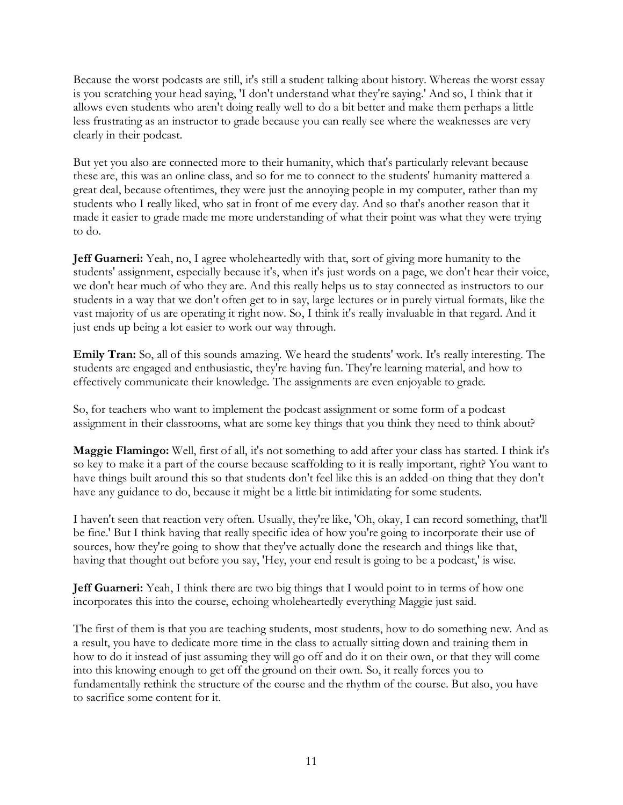Because the worst podcasts are still, it's still a student talking about history. Whereas the worst essay is you scratching your head saying, 'I don't understand what they're saying.' And so, I think that it allows even students who aren't doing really well to do a bit better and make them perhaps a little less frustrating as an instructor to grade because you can really see where the weaknesses are very clearly in their podcast.

But yet you also are connected more to their humanity, which that's particularly relevant because these are, this was an online class, and so for me to connect to the students' humanity mattered a great deal, because oftentimes, they were just the annoying people in my computer, rather than my students who I really liked, who sat in front of me every day. And so that's another reason that it made it easier to grade made me more understanding of what their point was what they were trying to do.

**Jeff Guarneri:** Yeah, no, I agree wholeheartedly with that, sort of giving more humanity to the students' assignment, especially because it's, when it's just words on a page, we don't hear their voice, we don't hear much of who they are. And this really helps us to stay connected as instructors to our students in a way that we don't often get to in say, large lectures or in purely virtual formats, like the vast majority of us are operating it right now. So, I think it's really invaluable in that regard. And it just ends up being a lot easier to work our way through.

**Emily Tran:** So, all of this sounds amazing. We heard the students' work. It's really interesting. The students are engaged and enthusiastic, they're having fun. They're learning material, and how to effectively communicate their knowledge. The assignments are even enjoyable to grade.

So, for teachers who want to implement the podcast assignment or some form of a podcast assignment in their classrooms, what are some key things that you think they need to think about?

**Maggie Flamingo:** Well, first of all, it's not something to add after your class has started. I think it's so key to make it a part of the course because scaffolding to it is really important, right? You want to have things built around this so that students don't feel like this is an added-on thing that they don't have any guidance to do, because it might be a little bit intimidating for some students.

I haven't seen that reaction very often. Usually, they're like, 'Oh, okay, I can record something, that'll be fine.' But I think having that really specific idea of how you're going to incorporate their use of sources, how they're going to show that they've actually done the research and things like that, having that thought out before you say, 'Hey, your end result is going to be a podcast,' is wise.

**Jeff Guarneri:** Yeah, I think there are two big things that I would point to in terms of how one incorporates this into the course, echoing wholeheartedly everything Maggie just said.

The first of them is that you are teaching students, most students, how to do something new. And as a result, you have to dedicate more time in the class to actually sitting down and training them in how to do it instead of just assuming they will go off and do it on their own, or that they will come into this knowing enough to get off the ground on their own. So, it really forces you to fundamentally rethink the structure of the course and the rhythm of the course. But also, you have to sacrifice some content for it.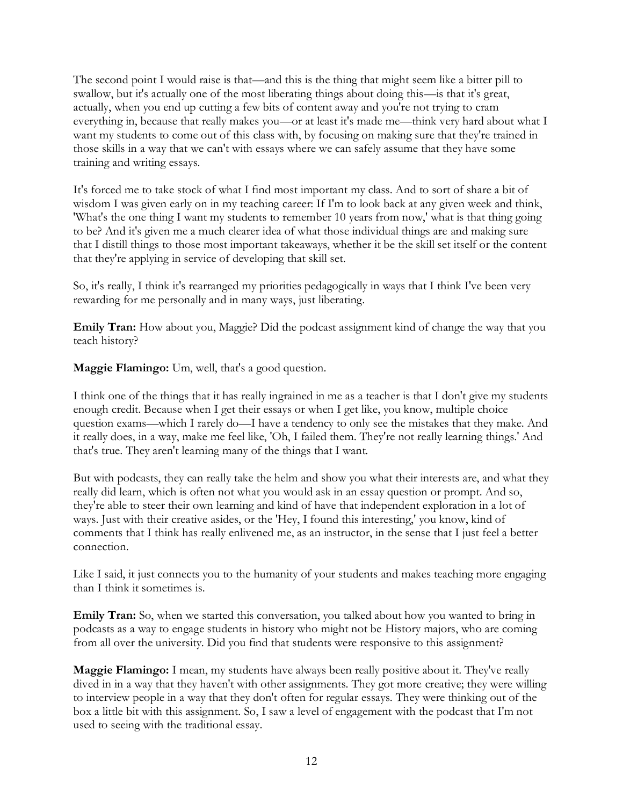The second point I would raise is that—and this is the thing that might seem like a bitter pill to swallow, but it's actually one of the most liberating things about doing this—is that it's great, actually, when you end up cutting a few bits of content away and you're not trying to cram everything in, because that really makes you—or at least it's made me—think very hard about what I want my students to come out of this class with, by focusing on making sure that they're trained in those skills in a way that we can't with essays where we can safely assume that they have some training and writing essays.

It's forced me to take stock of what I find most important my class. And to sort of share a bit of wisdom I was given early on in my teaching career: If I'm to look back at any given week and think, 'What's the one thing I want my students to remember 10 years from now,' what is that thing going to be? And it's given me a much clearer idea of what those individual things are and making sure that I distill things to those most important takeaways, whether it be the skill set itself or the content that they're applying in service of developing that skill set.

So, it's really, I think it's rearranged my priorities pedagogically in ways that I think I've been very rewarding for me personally and in many ways, just liberating.

**Emily Tran:** How about you, Maggie? Did the podcast assignment kind of change the way that you teach history?

**Maggie Flamingo:** Um, well, that's a good question.

I think one of the things that it has really ingrained in me as a teacher is that I don't give my students enough credit. Because when I get their essays or when I get like, you know, multiple choice question exams—which I rarely do—I have a tendency to only see the mistakes that they make. And it really does, in a way, make me feel like, 'Oh, I failed them. They're not really learning things.' And that's true. They aren't learning many of the things that I want.

But with podcasts, they can really take the helm and show you what their interests are, and what they really did learn, which is often not what you would ask in an essay question or prompt. And so, they're able to steer their own learning and kind of have that independent exploration in a lot of ways. Just with their creative asides, or the 'Hey, I found this interesting,' you know, kind of comments that I think has really enlivened me, as an instructor, in the sense that I just feel a better connection.

Like I said, it just connects you to the humanity of your students and makes teaching more engaging than I think it sometimes is.

**Emily Tran:** So, when we started this conversation, you talked about how you wanted to bring in podcasts as a way to engage students in history who might not be History majors, who are coming from all over the university. Did you find that students were responsive to this assignment?

**Maggie Flamingo:** I mean, my students have always been really positive about it. They've really dived in in a way that they haven't with other assignments. They got more creative; they were willing to interview people in a way that they don't often for regular essays. They were thinking out of the box a little bit with this assignment. So, I saw a level of engagement with the podcast that I'm not used to seeing with the traditional essay.